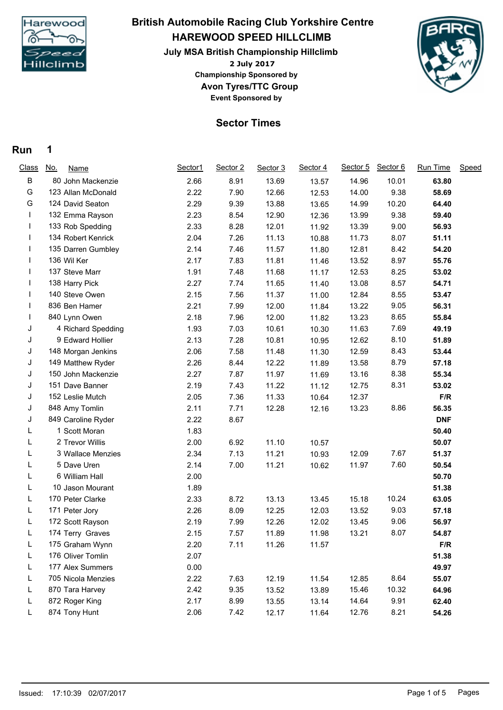

# **HAREWOOD SPEED HILLCLIMB July MSA British Championship Hillclimb British Automobile Racing Club Yorkshire Centre**

**2 July 2017 Avon Tyres/TTC Group Event Sponsored by Championship Sponsored by**



## **Sector Times**

#### **Run 1**

| <b>Class</b> | <u>No.</u><br><b>Name</b> | Sector1 | Sector 2 | Sector 3 | Sector 4 | Sector 5 | Sector 6 | Run Time   | Speed |
|--------------|---------------------------|---------|----------|----------|----------|----------|----------|------------|-------|
| B            | 80 John Mackenzie         | 2.66    | 8.91     | 13.69    | 13.57    | 14.96    | 10.01    | 63.80      |       |
| G            | 123 Allan McDonald        | 2.22    | 7.90     | 12.66    | 12.53    | 14.00    | 9.38     | 58.69      |       |
| G            | 124 David Seaton          | 2.29    | 9.39     | 13.88    | 13.65    | 14.99    | 10.20    | 64.40      |       |
|              | 132 Emma Rayson           | 2.23    | 8.54     | 12.90    | 12.36    | 13.99    | 9.38     | 59.40      |       |
|              | 133 Rob Spedding          | 2.33    | 8.28     | 12.01    | 11.92    | 13.39    | 9.00     | 56.93      |       |
|              | 134 Robert Kenrick        | 2.04    | 7.26     | 11.13    | 10.88    | 11.73    | 8.07     | 51.11      |       |
|              | 135 Darren Gumbley        | 2.14    | 7.46     | 11.57    | 11.80    | 12.81    | 8.42     | 54.20      |       |
|              | 136 Wil Ker               | 2.17    | 7.83     | 11.81    | 11.46    | 13.52    | 8.97     | 55.76      |       |
|              | 137 Steve Marr            | 1.91    | 7.48     | 11.68    | 11.17    | 12.53    | 8.25     | 53.02      |       |
|              | 138 Harry Pick            | 2.27    | 7.74     | 11.65    | 11.40    | 13.08    | 8.57     | 54.71      |       |
|              | 140 Steve Owen            | 2.15    | 7.56     | 11.37    | 11.00    | 12.84    | 8.55     | 53.47      |       |
|              | 836 Ben Hamer             | 2.21    | 7.99     | 12.00    | 11.84    | 13.22    | 9.05     | 56.31      |       |
|              | 840 Lynn Owen             | 2.18    | 7.96     | 12.00    | 11.82    | 13.23    | 8.65     | 55.84      |       |
| J            | 4 Richard Spedding        | 1.93    | 7.03     | 10.61    | 10.30    | 11.63    | 7.69     | 49.19      |       |
| J            | 9 Edward Hollier          | 2.13    | 7.28     | 10.81    | 10.95    | 12.62    | 8.10     | 51.89      |       |
| J            | 148 Morgan Jenkins        | 2.06    | 7.58     | 11.48    | 11.30    | 12.59    | 8.43     | 53.44      |       |
| J            | 149 Matthew Ryder         | 2.26    | 8.44     | 12.22    | 11.89    | 13.58    | 8.79     | 57.18      |       |
| J            | 150 John Mackenzie        | 2.27    | 7.87     | 11.97    | 11.69    | 13.16    | 8.38     | 55.34      |       |
| J            | 151 Dave Banner           | 2.19    | 7.43     | 11.22    | 11.12    | 12.75    | 8.31     | 53.02      |       |
| J            | 152 Leslie Mutch          | 2.05    | 7.36     | 11.33    | 10.64    | 12.37    |          | F/R        |       |
| J            | 848 Amy Tomlin            | 2.11    | 7.71     | 12.28    | 12.16    | 13.23    | 8.86     | 56.35      |       |
| J            | 849 Caroline Ryder        | 2.22    | 8.67     |          |          |          |          | <b>DNF</b> |       |
| L            | 1 Scott Moran             | 1.83    |          |          |          |          |          | 50.40      |       |
| L            | 2 Trevor Willis           | 2.00    | 6.92     | 11.10    | 10.57    |          |          | 50.07      |       |
| L            | 3 Wallace Menzies         | 2.34    | 7.13     | 11.21    | 10.93    | 12.09    | 7.67     | 51.37      |       |
| L            | 5 Dave Uren               | 2.14    | 7.00     | 11.21    | 10.62    | 11.97    | 7.60     | 50.54      |       |
| L            | 6 William Hall            | 2.00    |          |          |          |          |          | 50.70      |       |
| L            | 10 Jason Mourant          | 1.89    |          |          |          |          |          | 51.38      |       |
| L            | 170 Peter Clarke          | 2.33    | 8.72     | 13.13    | 13.45    | 15.18    | 10.24    | 63.05      |       |
| L            | 171 Peter Jory            | 2.26    | 8.09     | 12.25    | 12.03    | 13.52    | 9.03     | 57.18      |       |
| L.           | 172 Scott Rayson          | 2.19    | 7.99     | 12.26    | 12.02    | 13.45    | 9.06     | 56.97      |       |
| L.           | 174 Terry Graves          | 2.15    | 7.57     | 11.89    | 11.98    | 13.21    | 8.07     | 54.87      |       |
| L            | 175 Graham Wynn           | 2.20    | 7.11     | 11.26    | 11.57    |          |          | F/R        |       |
| L            | 176 Oliver Tomlin         | 2.07    |          |          |          |          |          | 51.38      |       |
| L            | 177 Alex Summers          | 0.00    |          |          |          |          |          | 49.97      |       |
| L            | 705 Nicola Menzies        | 2.22    | 7.63     | 12.19    | 11.54    | 12.85    | 8.64     | 55.07      |       |
| L            | 870 Tara Harvey           | 2.42    | 9.35     | 13.52    | 13.89    | 15.46    | 10.32    | 64.96      |       |
| L            | 872 Roger King            | 2.17    | 8.99     | 13.55    | 13.14    | 14.64    | 9.91     | 62.40      |       |
| L            | 874 Tony Hunt             | 2.06    | 7.42     | 12.17    | 11.64    | 12.76    | 8.21     | 54.26      |       |
|              |                           |         |          |          |          |          |          |            |       |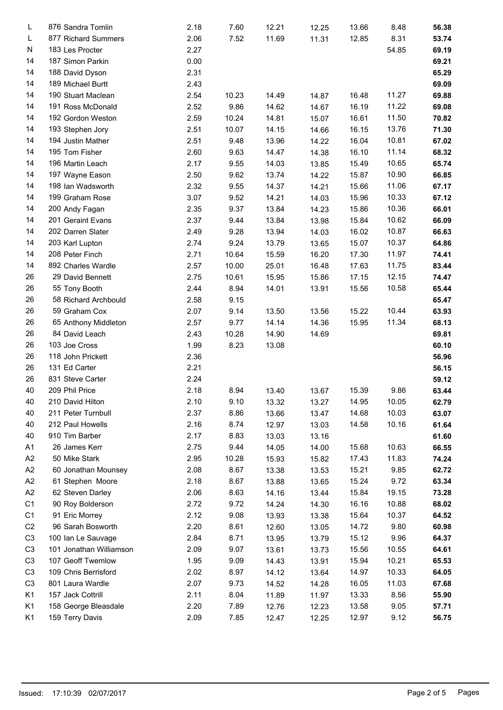| L              | 876 Sandra Tomlin       | 2.18 | 7.60  | 12.21 | 12.25 | 13.66 | 8.48  | 56.38 |
|----------------|-------------------------|------|-------|-------|-------|-------|-------|-------|
| L              | 877 Richard Summers     | 2.06 | 7.52  | 11.69 | 11.31 | 12.85 | 8.31  | 53.74 |
| N              | 183 Les Procter         | 2.27 |       |       |       |       | 54.85 | 69.19 |
| 14             | 187 Simon Parkin        | 0.00 |       |       |       |       |       | 69.21 |
| 14             | 188 David Dyson         | 2.31 |       |       |       |       |       | 65.29 |
| 14             | 189 Michael Burtt       | 2.43 |       |       |       |       |       | 69.09 |
| 14             | 190 Stuart Maclean      | 2.54 | 10.23 | 14.49 | 14.87 | 16.48 | 11.27 | 69.88 |
| 14             | 191 Ross McDonald       | 2.52 | 9.86  | 14.62 | 14.67 | 16.19 | 11.22 | 69.08 |
| 14             | 192 Gordon Weston       | 2.59 | 10.24 | 14.81 | 15.07 | 16.61 | 11.50 | 70.82 |
| 14             | 193 Stephen Jory        | 2.51 | 10.07 | 14.15 | 14.66 | 16.15 | 13.76 | 71.30 |
| 14             | 194 Justin Mather       | 2.51 | 9.48  | 13.96 | 14.22 | 16.04 | 10.81 | 67.02 |
| 14             | 195 Tom Fisher          | 2.60 | 9.63  | 14.47 | 14.38 | 16.10 | 11.14 | 68.32 |
| 14             | 196 Martin Leach        | 2.17 | 9.55  | 14.03 | 13.85 | 15.49 | 10.65 | 65.74 |
| 14             | 197 Wayne Eason         | 2.50 | 9.62  | 13.74 | 14.22 | 15.87 | 10.90 | 66.85 |
| 14             | 198 Ian Wadsworth       | 2.32 | 9.55  | 14.37 | 14.21 | 15.66 | 11.06 | 67.17 |
| 14             | 199 Graham Rose         | 3.07 | 9.52  | 14.21 | 14.03 | 15.96 | 10.33 | 67.12 |
|                |                         |      |       |       |       |       | 10.36 |       |
| 14             | 200 Andy Fagan          | 2.35 | 9.37  | 13.84 | 14.23 | 15.86 |       | 66.01 |
| 14             | 201 Geraint Evans       | 2.37 | 9.44  | 13.84 | 13.98 | 15.84 | 10.62 | 66.09 |
| 14             | 202 Darren Slater       | 2.49 | 9.28  | 13.94 | 14.03 | 16.02 | 10.87 | 66.63 |
| 14             | 203 Karl Lupton         | 2.74 | 9.24  | 13.79 | 13.65 | 15.07 | 10.37 | 64.86 |
| 14             | 208 Peter Finch         | 2.71 | 10.64 | 15.59 | 16.20 | 17.30 | 11.97 | 74.41 |
| 14             | 892 Charles Wardle      | 2.57 | 10.00 | 25.01 | 16.48 | 17.63 | 11.75 | 83.44 |
| 26             | 29 David Bennett        | 2.75 | 10.61 | 15.95 | 15.86 | 17.15 | 12.15 | 74.47 |
| 26             | 55 Tony Booth           | 2.44 | 8.94  | 14.01 | 13.91 | 15.56 | 10.58 | 65.44 |
| 26             | 58 Richard Archbould    | 2.58 | 9.15  |       |       |       |       | 65.47 |
| 26             | 59 Graham Cox           | 2.07 | 9.14  | 13.50 | 13.56 | 15.22 | 10.44 | 63.93 |
| 26             | 65 Anthony Middleton    | 2.57 | 9.77  | 14.14 | 14.36 | 15.95 | 11.34 | 68.13 |
| 26             | 84 David Leach          | 2.43 | 10.28 | 14.90 | 14.69 |       |       | 69.81 |
| 26             | 103 Joe Cross           | 1.99 | 8.23  | 13.08 |       |       |       | 60.10 |
| 26             | 118 John Prickett       | 2.36 |       |       |       |       |       | 56.96 |
| 26             | 131 Ed Carter           | 2.21 |       |       |       |       |       | 56.15 |
| 26             | 831 Steve Carter        | 2.24 |       |       |       |       |       | 59.12 |
| 40             | 209 Phil Price          | 2.18 | 8.94  | 13.40 | 13.67 | 15.39 | 9.86  | 63.44 |
| 40             | 210 David Hilton        | 2.10 | 9.10  | 13.32 | 13.27 | 14.95 | 10.05 | 62.79 |
| 40             | 211 Peter Turnbull      | 2.37 | 8.86  | 13.66 | 13.47 | 14.68 | 10.03 | 63.07 |
| 40             | 212 Paul Howells        | 2.16 | 8.74  | 12.97 | 13.03 | 14.58 | 10.16 | 61.64 |
| 40             | 910 Tim Barber          | 2.17 | 8.83  | 13.03 | 13.16 |       |       | 61.60 |
| A1             | 26 James Kerr           | 2.75 | 9.44  | 14.05 | 14.00 | 15.68 | 10.63 | 66.55 |
| A <sub>2</sub> | 50 Mike Stark           | 2.95 | 10.28 | 15.93 | 15.82 | 17.43 | 11.83 | 74.24 |
| A <sub>2</sub> | 60 Jonathan Mounsey     | 2.08 | 8.67  | 13.38 | 13.53 | 15.21 | 9.85  | 62.72 |
| A <sub>2</sub> | 61 Stephen Moore        | 2.18 | 8.67  | 13.88 | 13.65 | 15.24 | 9.72  | 63.34 |
| A <sub>2</sub> | 62 Steven Darley        | 2.06 | 8.63  | 14.16 | 13.44 | 15.84 | 19.15 | 73.28 |
| C <sub>1</sub> | 90 Roy Bolderson        | 2.72 | 9.72  | 14.24 | 14.30 | 16.16 | 10.88 | 68.02 |
| C <sub>1</sub> | 91 Eric Morrey          | 2.12 | 9.08  | 13.93 | 13.38 | 15.64 | 10.37 | 64.52 |
| C <sub>2</sub> | 96 Sarah Bosworth       | 2.20 | 8.61  | 12.60 | 13.05 | 14.72 | 9.80  | 60.98 |
| C <sub>3</sub> | 100 Ian Le Sauvage      | 2.84 | 8.71  | 13.95 | 13.79 | 15.12 | 9.96  | 64.37 |
| C <sub>3</sub> | 101 Jonathan Williamson | 2.09 | 9.07  | 13.61 | 13.73 | 15.56 | 10.55 | 64.61 |
| C <sub>3</sub> | 107 Geoff Twemlow       | 1.95 | 9.09  | 14.43 | 13.91 | 15.94 | 10.21 | 65.53 |
| C <sub>3</sub> | 109 Chris Berrisford    | 2.02 | 8.97  | 14.12 | 13.64 | 14.97 | 10.33 | 64.05 |
| C <sub>3</sub> | 801 Laura Wardle        | 2.07 | 9.73  | 14.52 | 14.28 | 16.05 | 11.03 | 67.68 |
| K1             | 157 Jack Cottrill       | 2.11 | 8.04  | 11.89 | 11.97 | 13.33 | 8.56  | 55.90 |
| K1             | 158 George Bleasdale    | 2.20 | 7.89  | 12.76 | 12.23 | 13.58 | 9.05  | 57.71 |
| K1             | 159 Terry Davis         | 2.09 | 7.85  | 12.47 | 12.25 | 12.97 | 9.12  | 56.75 |
|                |                         |      |       |       |       |       |       |       |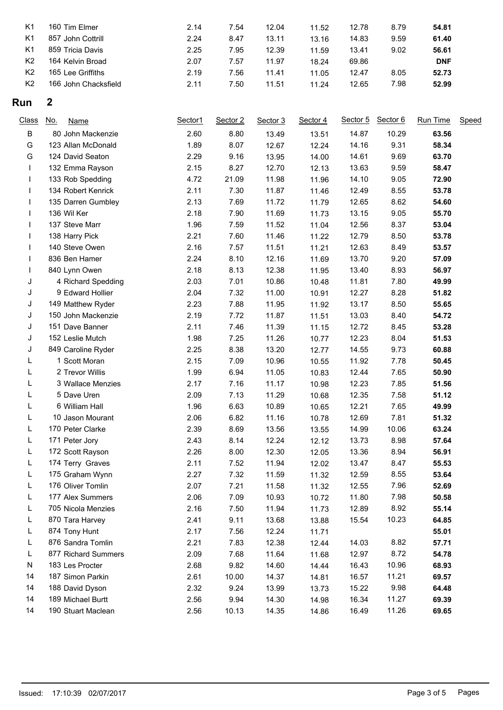|                                                                               | 9.59<br>14.83<br>61.40 |            |
|-------------------------------------------------------------------------------|------------------------|------------|
| K <sub>1</sub><br>857 John Cottrill<br>2.24<br>8.47<br>13.11<br>13.16         |                        |            |
| 2.25<br>K <sub>1</sub><br>859 Tricia Davis<br>7.95<br>13.41<br>12.39<br>11.59 | 9.02<br>56.61          |            |
| K <sub>2</sub><br>164 Kelvin Broad<br>2.07<br>7.57<br>69.86<br>11.97<br>18.24 |                        | <b>DNF</b> |
| K <sub>2</sub><br>165 Lee Griffiths<br>2.19<br>7.56<br>11.41<br>11.05         | 8.05<br>52.73<br>12.47 |            |
| K <sub>2</sub><br>166 John Chacksfield<br>2.11<br>7.50<br>11.51<br>11.24      | 7.98<br>12.65<br>52.99 |            |

## **Run 2**

| <b>Class</b> | <u>No.</u><br>Name  | Sector1 | Sector 2 | Sector 3 | Sector 4 | Sector 5 | Sector 6 | Run Time | Speed |
|--------------|---------------------|---------|----------|----------|----------|----------|----------|----------|-------|
| B            | 80 John Mackenzie   | 2.60    | 8.80     | 13.49    | 13.51    | 14.87    | 10.29    | 63.56    |       |
| G            | 123 Allan McDonald  | 1.89    | 8.07     | 12.67    | 12.24    | 14.16    | 9.31     | 58.34    |       |
| G            | 124 David Seaton    | 2.29    | 9.16     | 13.95    | 14.00    | 14.61    | 9.69     | 63.70    |       |
| $\mathbf{I}$ | 132 Emma Rayson     | 2.15    | 8.27     | 12.70    | 12.13    | 13.63    | 9.59     | 58.47    |       |
| L            | 133 Rob Spedding    | 4.72    | 21.09    | 11.98    | 11.96    | 14.10    | 9.05     | 72.90    |       |
|              | 134 Robert Kenrick  | 2.11    | 7.30     | 11.87    | 11.46    | 12.49    | 8.55     | 53.78    |       |
|              | 135 Darren Gumbley  | 2.13    | 7.69     | 11.72    | 11.79    | 12.65    | 8.62     | 54.60    |       |
|              | 136 Wil Ker         | 2.18    | 7.90     | 11.69    | 11.73    | 13.15    | 9.05     | 55.70    |       |
|              | 137 Steve Marr      | 1.96    | 7.59     | 11.52    | 11.04    | 12.56    | 8.37     | 53.04    |       |
|              | 138 Harry Pick      | 2.21    | 7.60     | 11.46    | 11.22    | 12.79    | 8.50     | 53.78    |       |
|              | 140 Steve Owen      | 2.16    | 7.57     | 11.51    | 11.21    | 12.63    | 8.49     | 53.57    |       |
|              | 836 Ben Hamer       | 2.24    | 8.10     | 12.16    | 11.69    | 13.70    | 9.20     | 57.09    |       |
|              | 840 Lynn Owen       | 2.18    | 8.13     | 12.38    | 11.95    | 13.40    | 8.93     | 56.97    |       |
| J            | 4 Richard Spedding  | 2.03    | 7.01     | 10.86    | 10.48    | 11.81    | 7.80     | 49.99    |       |
| J            | 9 Edward Hollier    | 2.04    | 7.32     | 11.00    | 10.91    | 12.27    | 8.28     | 51.82    |       |
| J            | 149 Matthew Ryder   | 2.23    | 7.88     | 11.95    | 11.92    | 13.17    | 8.50     | 55.65    |       |
| J            | 150 John Mackenzie  | 2.19    | 7.72     | 11.87    | 11.51    | 13.03    | 8.40     | 54.72    |       |
| J            | 151 Dave Banner     | 2.11    | 7.46     | 11.39    | 11.15    | 12.72    | 8.45     | 53.28    |       |
| J            | 152 Leslie Mutch    | 1.98    | 7.25     | 11.26    | 10.77    | 12.23    | 8.04     | 51.53    |       |
| J            | 849 Caroline Ryder  | 2.25    | 8.38     | 13.20    | 12.77    | 14.55    | 9.73     | 60.88    |       |
| L            | 1 Scott Moran       | 2.15    | 7.09     | 10.96    | 10.55    | 11.92    | 7.78     | 50.45    |       |
| L            | 2 Trevor Willis     | 1.99    | 6.94     | 11.05    | 10.83    | 12.44    | 7.65     | 50.90    |       |
|              | 3 Wallace Menzies   | 2.17    | 7.16     | 11.17    | 10.98    | 12.23    | 7.85     | 51.56    |       |
| L            | 5 Dave Uren         | 2.09    | 7.13     | 11.29    | 10.68    | 12.35    | 7.58     | 51.12    |       |
| L            | 6 William Hall      | 1.96    | 6.63     | 10.89    | 10.65    | 12.21    | 7.65     | 49.99    |       |
| L            | 10 Jason Mourant    | 2.06    | 6.82     | 11.16    | 10.78    | 12.69    | 7.81     | 51.32    |       |
| L            | 170 Peter Clarke    | 2.39    | 8.69     | 13.56    | 13.55    | 14.99    | 10.06    | 63.24    |       |
| L            | 171 Peter Jory      | 2.43    | 8.14     | 12.24    | 12.12    | 13.73    | 8.98     | 57.64    |       |
| Г            | 172 Scott Rayson    | 2.26    | 8.00     | 12.30    | 12.05    | 13.36    | 8.94     | 56.91    |       |
| L            | 174 Terry Graves    | 2.11    | 7.52     | 11.94    | 12.02    | 13.47    | 8.47     | 55.53    |       |
| L            | 175 Graham Wynn     | 2.27    | 7.32     | 11.59    | 11.32    | 12.59    | 8.55     | 53.64    |       |
| L            | 176 Oliver Tomlin   | 2.07    | 7.21     | 11.58    | 11.32    | 12.55    | 7.96     | 52.69    |       |
| L            | 177 Alex Summers    | 2.06    | 7.09     | 10.93    | 10.72    | 11.80    | 7.98     | 50.58    |       |
| L            | 705 Nicola Menzies  | 2.16    | 7.50     | 11.94    | 11.73    | 12.89    | 8.92     | 55.14    |       |
| L            | 870 Tara Harvey     | 2.41    | 9.11     | 13.68    | 13.88    | 15.54    | 10.23    | 64.85    |       |
| L            | 874 Tony Hunt       | 2.17    | 7.56     | 12.24    | 11.71    |          |          | 55.01    |       |
| L            | 876 Sandra Tomlin   | 2.21    | 7.83     | 12.38    | 12.44    | 14.03    | 8.82     | 57.71    |       |
| L            | 877 Richard Summers | 2.09    | 7.68     | 11.64    | 11.68    | 12.97    | 8.72     | 54.78    |       |
| N            | 183 Les Procter     | 2.68    | 9.82     | 14.60    | 14.44    | 16.43    | 10.96    | 68.93    |       |
| 14           | 187 Simon Parkin    | 2.61    | 10.00    | 14.37    | 14.81    | 16.57    | 11.21    | 69.57    |       |
| 14           | 188 David Dyson     | 2.32    | 9.24     | 13.99    | 13.73    | 15.22    | 9.98     | 64.48    |       |
| 14           | 189 Michael Burtt   | 2.56    | 9.94     | 14.30    | 14.98    | 16.34    | 11.27    | 69.39    |       |
| 14           | 190 Stuart Maclean  | 2.56    | 10.13    | 14.35    | 14.86    | 16.49    | 11.26    | 69.65    |       |
|              |                     |         |          |          |          |          |          |          |       |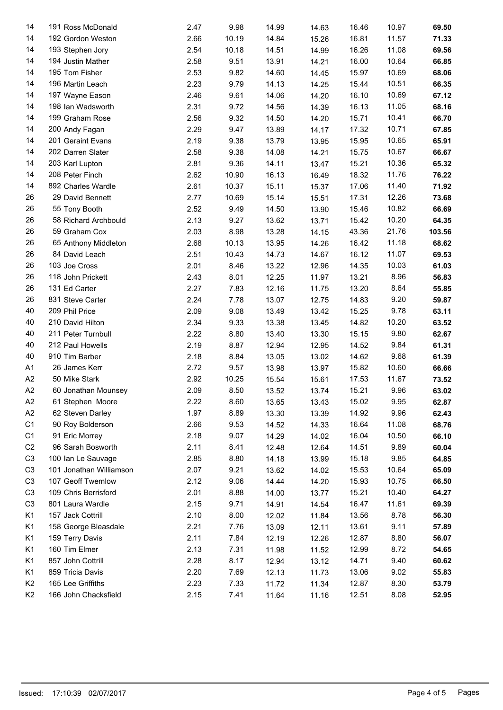| 14             | 191 Ross McDonald       | 2.47 | 9.98  | 14.99 | 14.63 | 16.46 | 10.97 | 69.50  |
|----------------|-------------------------|------|-------|-------|-------|-------|-------|--------|
| 14             | 192 Gordon Weston       | 2.66 | 10.19 | 14.84 | 15.26 | 16.81 | 11.57 | 71.33  |
| 14             | 193 Stephen Jory        | 2.54 | 10.18 | 14.51 | 14.99 | 16.26 | 11.08 | 69.56  |
| 14             | 194 Justin Mather       | 2.58 | 9.51  | 13.91 | 14.21 | 16.00 | 10.64 | 66.85  |
| 14             | 195 Tom Fisher          | 2.53 | 9.82  | 14.60 | 14.45 | 15.97 | 10.69 | 68.06  |
| 14             | 196 Martin Leach        | 2.23 | 9.79  | 14.13 | 14.25 | 15.44 | 10.51 | 66.35  |
| 14             | 197 Wayne Eason         | 2.46 | 9.61  | 14.06 | 14.20 | 16.10 | 10.69 | 67.12  |
| 14             | 198 Ian Wadsworth       | 2.31 | 9.72  | 14.56 | 14.39 | 16.13 | 11.05 | 68.16  |
| 14             | 199 Graham Rose         | 2.56 | 9.32  | 14.50 | 14.20 | 15.71 | 10.41 | 66.70  |
| 14             | 200 Andy Fagan          | 2.29 | 9.47  | 13.89 | 14.17 | 17.32 | 10.71 | 67.85  |
| 14             | 201 Geraint Evans       | 2.19 | 9.38  | 13.79 | 13.95 | 15.95 | 10.65 | 65.91  |
| 14             | 202 Darren Slater       | 2.58 | 9.38  | 14.08 | 14.21 | 15.75 | 10.67 | 66.67  |
| 14             | 203 Karl Lupton         | 2.81 | 9.36  | 14.11 | 13.47 | 15.21 | 10.36 | 65.32  |
| 14             | 208 Peter Finch         | 2.62 | 10.90 | 16.13 | 16.49 | 18.32 | 11.76 | 76.22  |
| 14             | 892 Charles Wardle      | 2.61 | 10.37 | 15.11 | 15.37 | 17.06 | 11.40 | 71.92  |
| 26             | 29 David Bennett        | 2.77 | 10.69 | 15.14 | 15.51 | 17.31 | 12.26 | 73.68  |
| 26             | 55 Tony Booth           | 2.52 | 9.49  | 14.50 | 13.90 | 15.46 | 10.82 | 66.69  |
| 26             | 58 Richard Archbould    | 2.13 | 9.27  | 13.62 | 13.71 | 15.42 | 10.20 | 64.35  |
| 26             | 59 Graham Cox           | 2.03 | 8.98  | 13.28 | 14.15 | 43.36 | 21.76 | 103.56 |
| 26             | 65 Anthony Middleton    | 2.68 | 10.13 | 13.95 | 14.26 | 16.42 | 11.18 | 68.62  |
| 26             | 84 David Leach          | 2.51 | 10.43 | 14.73 | 14.67 | 16.12 | 11.07 | 69.53  |
| 26             | 103 Joe Cross           | 2.01 | 8.46  | 13.22 | 12.96 | 14.35 | 10.03 | 61.03  |
| 26             | 118 John Prickett       | 2.43 | 8.01  | 12.25 | 11.97 | 13.21 | 8.96  | 56.83  |
| 26             | 131 Ed Carter           | 2.27 | 7.83  | 12.16 | 11.75 | 13.20 | 8.64  | 55.85  |
| 26             | 831 Steve Carter        | 2.24 | 7.78  | 13.07 | 12.75 | 14.83 | 9.20  | 59.87  |
| 40             | 209 Phil Price          | 2.09 | 9.08  | 13.49 | 13.42 | 15.25 | 9.78  | 63.11  |
| 40             | 210 David Hilton        | 2.34 | 9.33  | 13.38 | 13.45 | 14.82 | 10.20 | 63.52  |
| 40             | 211 Peter Turnbull      | 2.22 | 8.80  | 13.40 | 13.30 | 15.15 | 9.80  | 62.67  |
| 40             | 212 Paul Howells        | 2.19 | 8.87  | 12.94 | 12.95 | 14.52 | 9.84  | 61.31  |
| 40             | 910 Tim Barber          | 2.18 | 8.84  | 13.05 | 13.02 | 14.62 | 9.68  | 61.39  |
| A1             | 26 James Kerr           | 2.72 | 9.57  |       |       | 15.82 | 10.60 | 66.66  |
| A <sub>2</sub> |                         | 2.92 |       | 13.98 | 13.97 |       | 11.67 |        |
| A <sub>2</sub> | 50 Mike Stark           |      | 10.25 | 15.54 | 15.61 | 17.53 |       | 73.52  |
|                | 60 Jonathan Mounsey     | 2.09 | 8.50  | 13.52 | 13.74 | 15.21 | 9.96  | 63.02  |
| A2             | 61 Stephen Moore        | 2.22 | 8.60  | 13.65 | 13.43 | 15.02 | 9.95  | 62.87  |
| A <sub>2</sub> | 62 Steven Darley        | 1.97 | 8.89  | 13.30 | 13.39 | 14.92 | 9.96  | 62.43  |
| C <sub>1</sub> | 90 Roy Bolderson        | 2.66 | 9.53  | 14.52 | 14.33 | 16.64 | 11.08 | 68.76  |
| C <sub>1</sub> | 91 Eric Morrey          | 2.18 | 9.07  | 14.29 | 14.02 | 16.04 | 10.50 | 66.10  |
| C <sub>2</sub> | 96 Sarah Bosworth       | 2.11 | 8.41  | 12.48 | 12.64 | 14.51 | 9.89  | 60.04  |
| C <sub>3</sub> | 100 Ian Le Sauvage      | 2.85 | 8.80  | 14.18 | 13.99 | 15.18 | 9.85  | 64.85  |
| C <sub>3</sub> | 101 Jonathan Williamson | 2.07 | 9.21  | 13.62 | 14.02 | 15.53 | 10.64 | 65.09  |
| C <sub>3</sub> | 107 Geoff Twemlow       | 2.12 | 9.06  | 14.44 | 14.20 | 15.93 | 10.75 | 66.50  |
| C <sub>3</sub> | 109 Chris Berrisford    | 2.01 | 8.88  | 14.00 | 13.77 | 15.21 | 10.40 | 64.27  |
| C <sub>3</sub> | 801 Laura Wardle        | 2.15 | 9.71  | 14.91 | 14.54 | 16.47 | 11.61 | 69.39  |
| K1             | 157 Jack Cottrill       | 2.10 | 8.00  | 12.02 | 11.84 | 13.56 | 8.78  | 56.30  |
| K1             | 158 George Bleasdale    | 2.21 | 7.76  | 13.09 | 12.11 | 13.61 | 9.11  | 57.89  |
| K1             | 159 Terry Davis         | 2.11 | 7.84  | 12.19 | 12.26 | 12.87 | 8.80  | 56.07  |
| K1             | 160 Tim Elmer           | 2.13 | 7.31  | 11.98 | 11.52 | 12.99 | 8.72  | 54.65  |
| K1             | 857 John Cottrill       | 2.28 | 8.17  | 12.94 | 13.12 | 14.71 | 9.40  | 60.62  |
| K1             | 859 Tricia Davis        | 2.20 | 7.69  | 12.13 | 11.73 | 13.06 | 9.02  | 55.83  |
| K <sub>2</sub> | 165 Lee Griffiths       | 2.23 | 7.33  | 11.72 | 11.34 | 12.87 | 8.30  | 53.79  |
| K <sub>2</sub> | 166 John Chacksfield    | 2.15 | 7.41  | 11.64 | 11.16 | 12.51 | 8.08  | 52.95  |